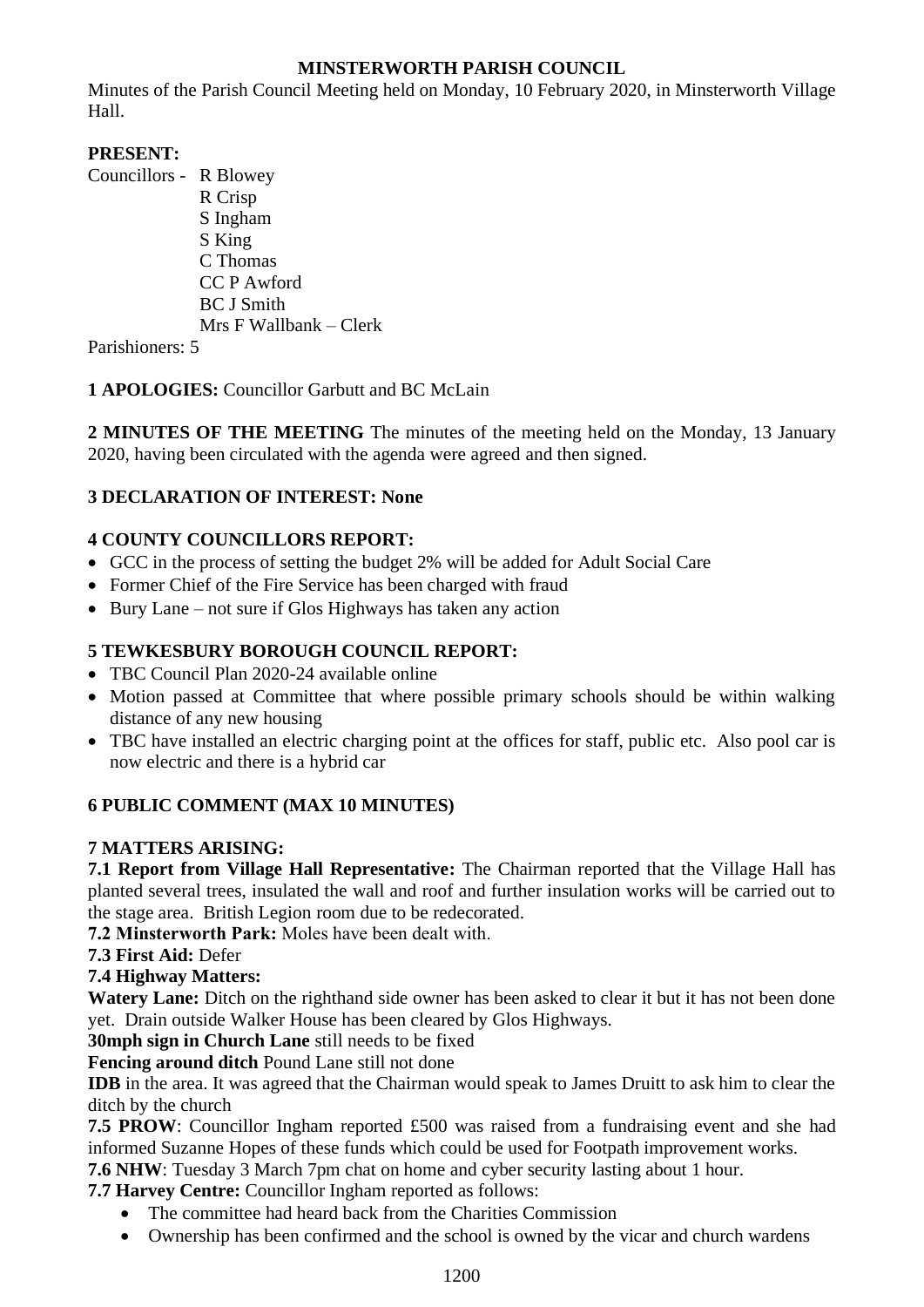## **MINSTERWORTH PARISH COUNCIL**

Minutes of the Parish Council Meeting held on Monday, 10 February 2020, in Minsterworth Village Hall.

## **PRESENT:**

Councillors - R Blowey R Crisp S Ingham S King C Thomas CC P Awford BC J Smith Mrs F Wallbank – Clerk

Parishioners: 5

**1 APOLOGIES:** Councillor Garbutt and BC McLain

**2 MINUTES OF THE MEETING** The minutes of the meeting held on the Monday, 13 January 2020, having been circulated with the agenda were agreed and then signed.

## **3 DECLARATION OF INTEREST: None**

# **4 COUNTY COUNCILLORS REPORT:**

- GCC in the process of setting the budget 2% will be added for Adult Social Care
- Former Chief of the Fire Service has been charged with fraud
- Bury Lane not sure if Glos Highways has taken any action

### **5 TEWKESBURY BOROUGH COUNCIL REPORT:**

- TBC Council Plan 2020-24 available online
- Motion passed at Committee that where possible primary schools should be within walking distance of any new housing
- TBC have installed an electric charging point at the offices for staff, public etc. Also pool car is now electric and there is a hybrid car

## **6 PUBLIC COMMENT (MAX 10 MINUTES)**

### **7 MATTERS ARISING:**

**7.1 Report from Village Hall Representative:** The Chairman reported that the Village Hall has planted several trees, insulated the wall and roof and further insulation works will be carried out to the stage area. British Legion room due to be redecorated.

**7.2 Minsterworth Park:** Moles have been dealt with.

**7.3 First Aid:** Defer

### **7.4 Highway Matters:**

Watery Lane: Ditch on the righthand side owner has been asked to clear it but it has not been done yet. Drain outside Walker House has been cleared by Glos Highways.

**30mph sign in Church Lane** still needs to be fixed

**Fencing around ditch** Pound Lane still not done

**IDB** in the area. It was agreed that the Chairman would speak to James Druitt to ask him to clear the ditch by the church

**7.5 PROW**: Councillor Ingham reported £500 was raised from a fundraising event and she had informed Suzanne Hopes of these funds which could be used for Footpath improvement works.

**7.6 NHW**: Tuesday 3 March 7pm chat on home and cyber security lasting about 1 hour.

**7.7 Harvey Centre:** Councillor Ingham reported as follows:

- The committee had heard back from the Charities Commission
- Ownership has been confirmed and the school is owned by the vicar and church wardens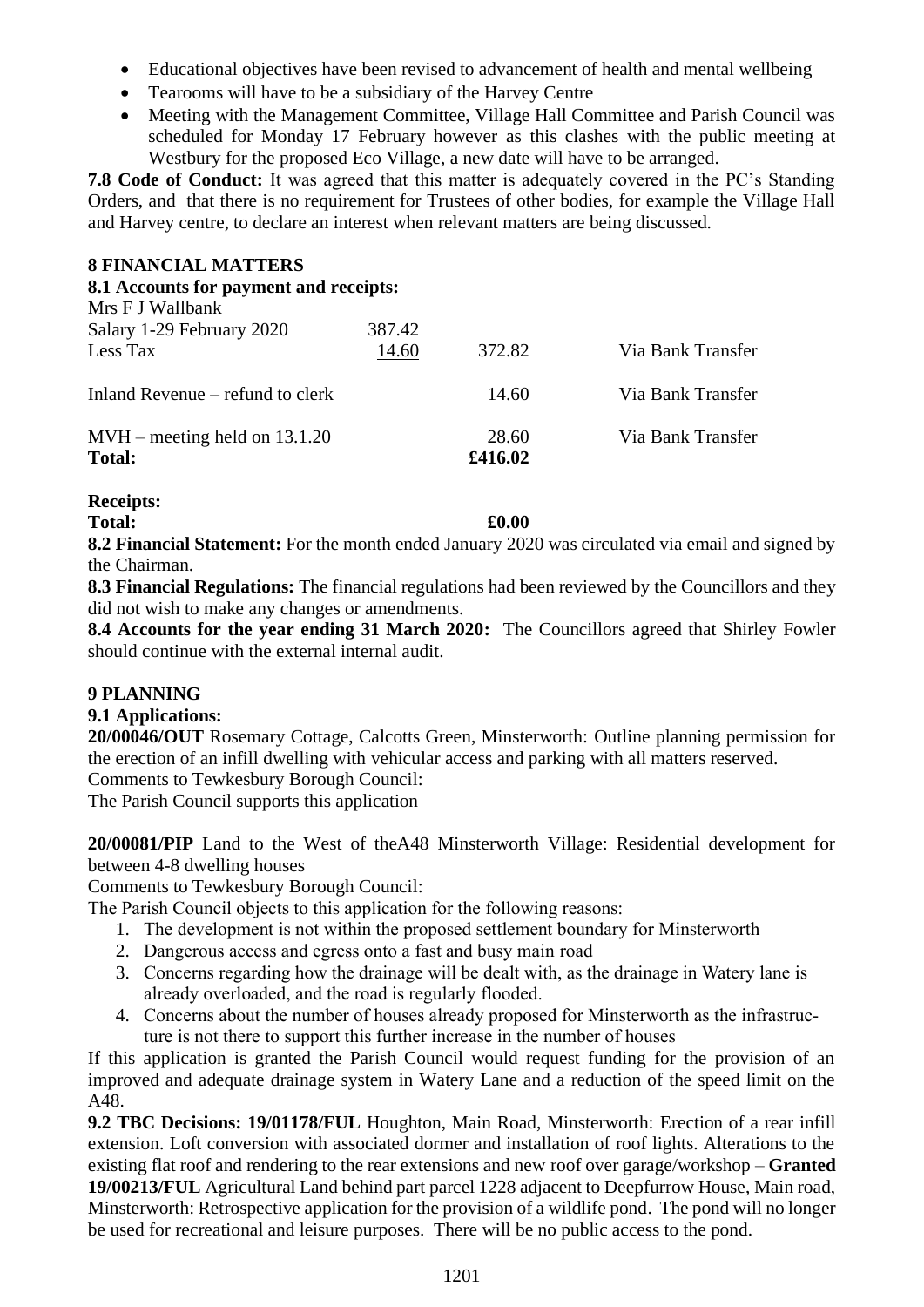- Educational objectives have been revised to advancement of health and mental wellbeing
- Tearooms will have to be a subsidiary of the Harvey Centre
- Meeting with the Management Committee, Village Hall Committee and Parish Council was scheduled for Monday 17 February however as this clashes with the public meeting at Westbury for the proposed Eco Village, a new date will have to be arranged.

**7.8 Code of Conduct:** It was agreed that this matter is adequately covered in the PC's Standing Orders, and that there is no requirement for Trustees of other bodies, for example the Village Hall and Harvey centre, to declare an interest when relevant matters are being discussed.

### **8 FINANCIAL MATTERS**

### **8.1 Accounts for payment and receipts:**

| Mrs F J Wallbank                                 |                 |                  |                   |
|--------------------------------------------------|-----------------|------------------|-------------------|
| Salary 1-29 February 2020<br>Less Tax            | 387.42<br>14.60 | 372.82           | Via Bank Transfer |
| Inland Revenue – refund to clerk                 |                 | 14.60            | Via Bank Transfer |
| $MVH$ – meeting held on 13.1.20<br><b>Total:</b> |                 | 28.60<br>£416.02 | Via Bank Transfer |

### **Receipts:**

**Total: £0.00**

**8.2 Financial Statement:** For the month ended January 2020 was circulated via email and signed by the Chairman.

**8.3 Financial Regulations:** The financial regulations had been reviewed by the Councillors and they did not wish to make any changes or amendments.

**8.4 Accounts for the year ending 31 March 2020:** The Councillors agreed that Shirley Fowler should continue with the external internal audit.

## **9 PLANNING**

## **9.1 Applications:**

**20/00046/OUT** Rosemary Cottage, Calcotts Green, Minsterworth: Outline planning permission for the erection of an infill dwelling with vehicular access and parking with all matters reserved. Comments to Tewkesbury Borough Council:

The Parish Council supports this application

**20/00081/PIP** Land to the West of theA48 Minsterworth Village: Residential development for between 4-8 dwelling houses

Comments to Tewkesbury Borough Council:

The Parish Council objects to this application for the following reasons:

- 1. The development is not within the proposed settlement boundary for Minsterworth
- 2. Dangerous access and egress onto a fast and busy main road
- 3. Concerns regarding how the drainage will be dealt with, as the drainage in Watery lane is already overloaded, and the road is regularly flooded.
- 4. Concerns about the number of houses already proposed for Minsterworth as the infrastructure is not there to support this further increase in the number of houses

If this application is granted the Parish Council would request funding for the provision of an improved and adequate drainage system in Watery Lane and a reduction of the speed limit on the A48.

**9.2 TBC Decisions: 19/01178/FUL** Houghton, Main Road, Minsterworth: Erection of a rear infill extension. Loft conversion with associated dormer and installation of roof lights. Alterations to the existing flat roof and rendering to the rear extensions and new roof over garage/workshop – **Granted 19/00213/FUL** Agricultural Land behind part parcel 1228 adjacent to Deepfurrow House, Main road, Minsterworth: Retrospective application for the provision of a wildlife pond. The pond will no longer be used for recreational and leisure purposes. There will be no public access to the pond.